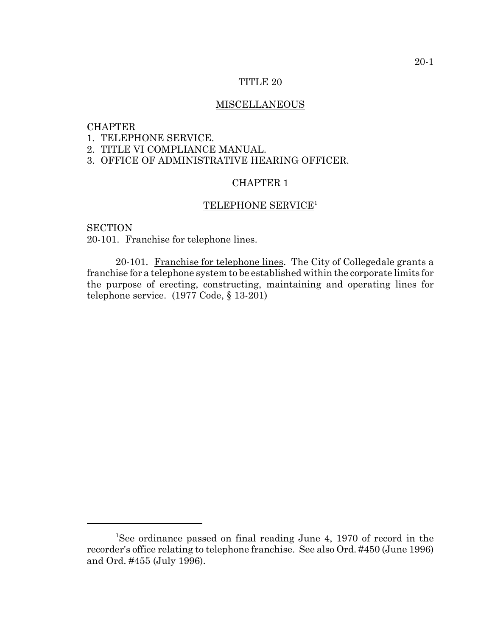### TITLE 20

# MISCELLANEOUS

# **CHAPTER**

1. TELEPHONE SERVICE.

2. TITLE VI COMPLIANCE MANUAL.

3. OFFICE OF ADMINISTRATIVE HEARING OFFICER.

# CHAPTER 1

# TELEPHONE SERVICE<sup>1</sup>

**SECTION** 

20-101. Franchise for telephone lines.

20-101. Franchise for telephone lines. The City of Collegedale grants a franchise for a telephone system to be established within the corporate limits for the purpose of erecting, constructing, maintaining and operating lines for telephone service. (1977 Code, § 13-201)

<sup>&</sup>lt;sup>1</sup>See ordinance passed on final reading June 4, 1970 of record in the recorder's office relating to telephone franchise. See also Ord. #450 (June 1996) and Ord. #455 (July 1996).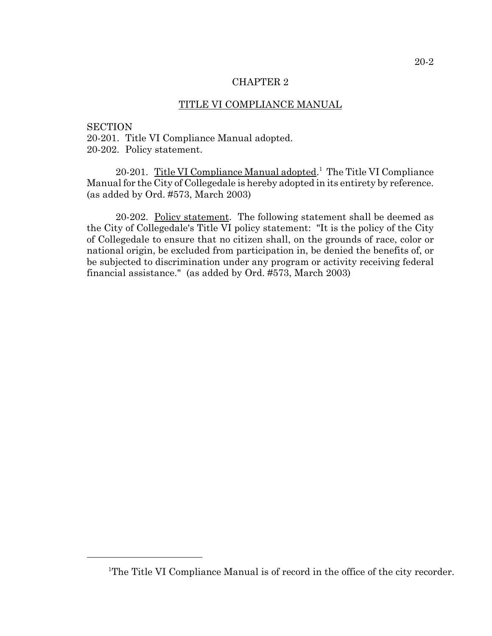### CHAPTER 2

# TITLE VI COMPLIANCE MANUAL

#### **SECTION**

20-201. Title VI Compliance Manual adopted. 20-202. Policy statement.

20-201. Title VI Compliance Manual adopted.<sup>1</sup> The Title VI Compliance Manual for the City of Collegedale is hereby adopted in its entirety by reference. (as added by Ord. #573, March 2003)

20-202. Policy statement. The following statement shall be deemed as the City of Collegedale's Title VI policy statement: "It is the policy of the City of Collegedale to ensure that no citizen shall, on the grounds of race, color or national origin, be excluded from participation in, be denied the benefits of, or be subjected to discrimination under any program or activity receiving federal financial assistance." (as added by Ord. #573, March 2003)

<sup>&</sup>lt;sup>1</sup>The Title VI Compliance Manual is of record in the office of the city recorder.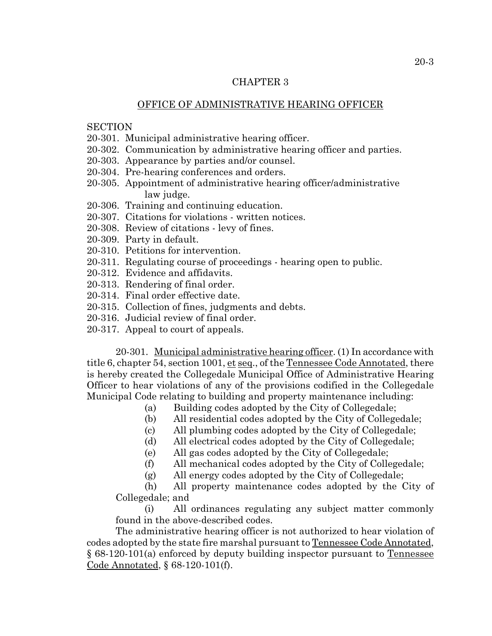### CHAPTER 3

## OFFICE OF ADMINISTRATIVE HEARING OFFICER

## **SECTION**

- 20-301. Municipal administrative hearing officer.
- 20-302. Communication by administrative hearing officer and parties.
- 20-303. Appearance by parties and/or counsel.
- 20-304. Pre-hearing conferences and orders.
- 20-305. Appointment of administrative hearing officer/administrative law judge.
- 20-306. Training and continuing education.
- 20-307. Citations for violations written notices.
- 20-308. Review of citations levy of fines.
- 20-309. Party in default.
- 20-310. Petitions for intervention.
- 20-311. Regulating course of proceedings hearing open to public.
- 20-312. Evidence and affidavits.
- 20-313. Rendering of final order.
- 20-314. Final order effective date.
- 20-315. Collection of fines, judgments and debts.
- 20-316. Judicial review of final order.
- 20-317. Appeal to court of appeals.

20-301. Municipal administrative hearing officer. (1) In accordance with title 6, chapter 54, section 1001, et seq., of the Tennessee Code Annotated, there is hereby created the Collegedale Municipal Office of Administrative Hearing Officer to hear violations of any of the provisions codified in the Collegedale Municipal Code relating to building and property maintenance including:

- (a) Building codes adopted by the City of Collegedale;
- (b) All residential codes adopted by the City of Collegedale;
- (c) All plumbing codes adopted by the City of Collegedale;
- (d) All electrical codes adopted by the City of Collegedale;
- (e) All gas codes adopted by the City of Collegedale;
- (f) All mechanical codes adopted by the City of Collegedale;
- (g) All energy codes adopted by the City of Collegedale;

(h) All property maintenance codes adopted by the City of Collegedale; and

(i) All ordinances regulating any subject matter commonly found in the above-described codes.

The administrative hearing officer is not authorized to hear violation of codes adopted by the state fire marshal pursuant to Tennessee Code Annotated, § 68-120-101(a) enforced by deputy building inspector pursuant to Tennessee Code Annotated, § 68-120-101(f).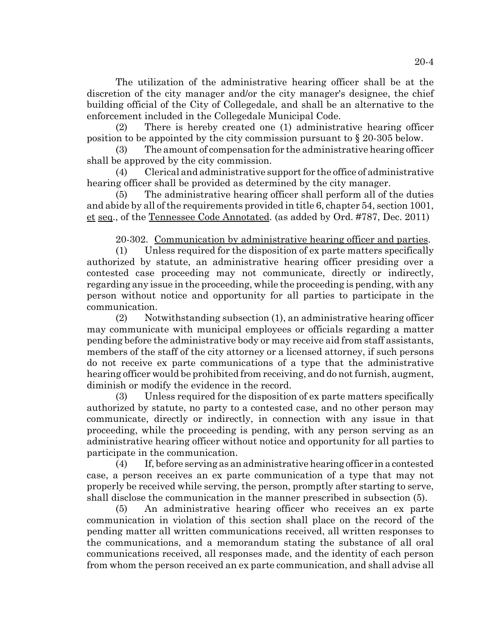The utilization of the administrative hearing officer shall be at the discretion of the city manager and/or the city manager's designee, the chief building official of the City of Collegedale, and shall be an alternative to the enforcement included in the Collegedale Municipal Code.

(2) There is hereby created one (1) administrative hearing officer position to be appointed by the city commission pursuant to § 20-305 below.

(3) The amount of compensation for the administrative hearing officer shall be approved by the city commission.

(4) Clerical and administrative support for the office of administrative hearing officer shall be provided as determined by the city manager.

(5) The administrative hearing officer shall perform all of the duties and abide by all of the requirements provided in title 6, chapter 54, section 1001, et seq., of the Tennessee Code Annotated. (as added by Ord. #787, Dec. 2011)

20-302. Communication by administrative hearing officer and parties.

(1) Unless required for the disposition of ex parte matters specifically authorized by statute, an administrative hearing officer presiding over a contested case proceeding may not communicate, directly or indirectly, regarding any issue in the proceeding, while the proceeding is pending, with any person without notice and opportunity for all parties to participate in the communication.

(2) Notwithstanding subsection (1), an administrative hearing officer may communicate with municipal employees or officials regarding a matter pending before the administrative body or may receive aid from staff assistants, members of the staff of the city attorney or a licensed attorney, if such persons do not receive ex parte communications of a type that the administrative hearing officer would be prohibited from receiving, and do not furnish, augment, diminish or modify the evidence in the record.

(3) Unless required for the disposition of ex parte matters specifically authorized by statute, no party to a contested case, and no other person may communicate, directly or indirectly, in connection with any issue in that proceeding, while the proceeding is pending, with any person serving as an administrative hearing officer without notice and opportunity for all parties to participate in the communication.

(4) If, before serving as an administrative hearing officer in a contested case, a person receives an ex parte communication of a type that may not properly be received while serving, the person, promptly after starting to serve, shall disclose the communication in the manner prescribed in subsection (5).

(5) An administrative hearing officer who receives an ex parte communication in violation of this section shall place on the record of the pending matter all written communications received, all written responses to the communications, and a memorandum stating the substance of all oral communications received, all responses made, and the identity of each person from whom the person received an ex parte communication, and shall advise all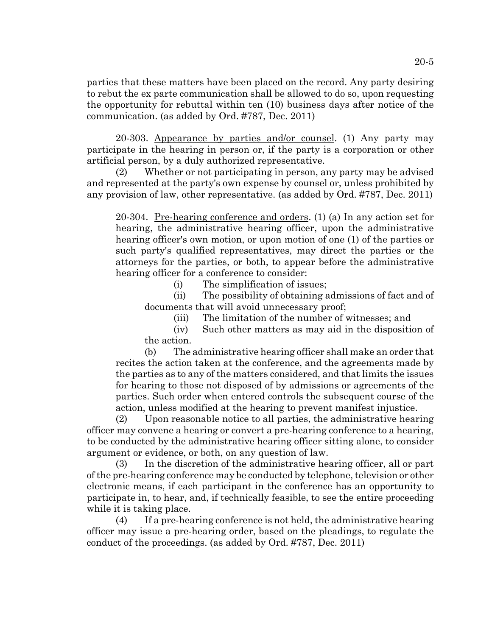parties that these matters have been placed on the record. Any party desiring to rebut the ex parte communication shall be allowed to do so, upon requesting the opportunity for rebuttal within ten (10) business days after notice of the communication. (as added by Ord. #787, Dec. 2011)

20-303. Appearance by parties and/or counsel. (1) Any party may participate in the hearing in person or, if the party is a corporation or other artificial person, by a duly authorized representative.

(2) Whether or not participating in person, any party may be advised and represented at the party's own expense by counsel or, unless prohibited by any provision of law, other representative. (as added by Ord. #787, Dec. 2011)

20-304. Pre-hearing conference and orders. (1) (a) In any action set for hearing, the administrative hearing officer, upon the administrative hearing officer's own motion, or upon motion of one (1) of the parties or such party's qualified representatives, may direct the parties or the attorneys for the parties, or both, to appear before the administrative hearing officer for a conference to consider:

(i) The simplification of issues;

(ii) The possibility of obtaining admissions of fact and of documents that will avoid unnecessary proof;

(iii) The limitation of the number of witnesses; and

(iv) Such other matters as may aid in the disposition of the action.

(b) The administrative hearing officer shall make an order that recites the action taken at the conference, and the agreements made by the parties as to any of the matters considered, and that limits the issues for hearing to those not disposed of by admissions or agreements of the parties. Such order when entered controls the subsequent course of the action, unless modified at the hearing to prevent manifest injustice.

(2) Upon reasonable notice to all parties, the administrative hearing officer may convene a hearing or convert a pre-hearing conference to a hearing, to be conducted by the administrative hearing officer sitting alone, to consider argument or evidence, or both, on any question of law.

(3) In the discretion of the administrative hearing officer, all or part of the pre-hearing conference may be conducted by telephone, television or other electronic means, if each participant in the conference has an opportunity to participate in, to hear, and, if technically feasible, to see the entire proceeding while it is taking place.

(4) If a pre-hearing conference is not held, the administrative hearing officer may issue a pre-hearing order, based on the pleadings, to regulate the conduct of the proceedings. (as added by Ord. #787, Dec. 2011)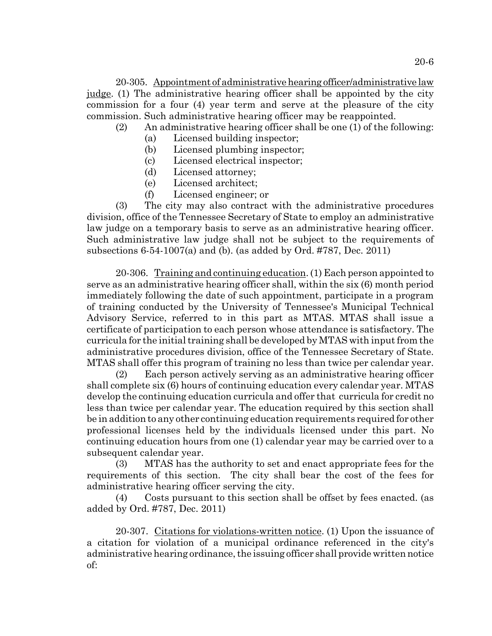20-305. Appointment of administrative hearing officer/administrative law judge. (1) The administrative hearing officer shall be appointed by the city commission for a four (4) year term and serve at the pleasure of the city commission. Such administrative hearing officer may be reappointed.

(2) An administrative hearing officer shall be one (1) of the following:

- (a) Licensed building inspector;
- (b) Licensed plumbing inspector;
- (c) Licensed electrical inspector;
- (d) Licensed attorney;
- (e) Licensed architect;
- (f) Licensed engineer; or

(3) The city may also contract with the administrative procedures division, office of the Tennessee Secretary of State to employ an administrative law judge on a temporary basis to serve as an administrative hearing officer. Such administrative law judge shall not be subject to the requirements of subsections 6-54-1007(a) and (b). (as added by Ord. #787, Dec. 2011)

20-306. Training and continuing education. (1) Each person appointed to serve as an administrative hearing officer shall, within the six (6) month period immediately following the date of such appointment, participate in a program of training conducted by the University of Tennessee's Municipal Technical Advisory Service, referred to in this part as MTAS. MTAS shall issue a certificate of participation to each person whose attendance is satisfactory. The curricula for the initial training shall be developed by MTAS with input from the administrative procedures division, office of the Tennessee Secretary of State. MTAS shall offer this program of training no less than twice per calendar year.

(2) Each person actively serving as an administrative hearing officer shall complete six (6) hours of continuing education every calendar year. MTAS develop the continuing education curricula and offer that curricula for credit no less than twice per calendar year. The education required by this section shall be in addition to any other continuing education requirements required for other professional licenses held by the individuals licensed under this part. No continuing education hours from one (1) calendar year may be carried over to a subsequent calendar year.

(3) MTAS has the authority to set and enact appropriate fees for the requirements of this section. The city shall bear the cost of the fees for administrative hearing officer serving the city.

(4) Costs pursuant to this section shall be offset by fees enacted. (as added by Ord. #787, Dec. 2011)

20-307. Citations for violations-written notice. (1) Upon the issuance of a citation for violation of a municipal ordinance referenced in the city's administrative hearing ordinance, the issuing officer shall provide written notice of: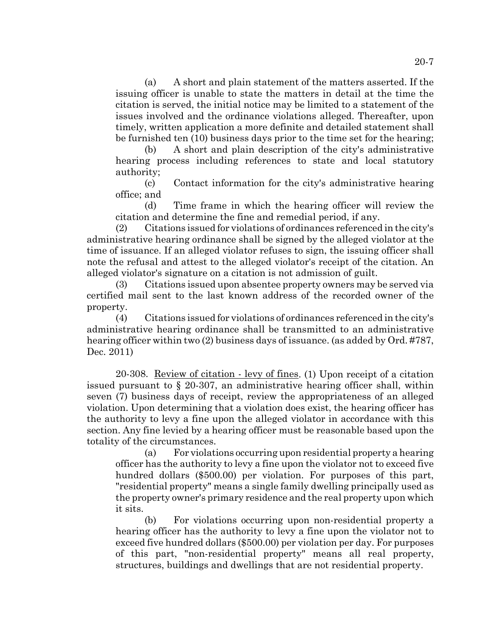(a) A short and plain statement of the matters asserted. If the issuing officer is unable to state the matters in detail at the time the citation is served, the initial notice may be limited to a statement of the issues involved and the ordinance violations alleged. Thereafter, upon timely, written application a more definite and detailed statement shall be furnished ten (10) business days prior to the time set for the hearing;

(b) A short and plain description of the city's administrative hearing process including references to state and local statutory authority;

(c) Contact information for the city's administrative hearing office; and

(d) Time frame in which the hearing officer will review the citation and determine the fine and remedial period, if any.

(2) Citations issued for violations of ordinances referenced in the city's administrative hearing ordinance shall be signed by the alleged violator at the time of issuance. If an alleged violator refuses to sign, the issuing officer shall note the refusal and attest to the alleged violator's receipt of the citation. An alleged violator's signature on a citation is not admission of guilt.

(3) Citations issued upon absentee property owners may be served via certified mail sent to the last known address of the recorded owner of the property.

(4) Citations issued for violations of ordinances referenced in the city's administrative hearing ordinance shall be transmitted to an administrative hearing officer within two (2) business days of issuance. (as added by Ord. #787, Dec. 2011)

20-308. Review of citation - levy of fines. (1) Upon receipt of a citation issued pursuant to § 20-307, an administrative hearing officer shall, within seven (7) business days of receipt, review the appropriateness of an alleged violation. Upon determining that a violation does exist, the hearing officer has the authority to levy a fine upon the alleged violator in accordance with this section. Any fine levied by a hearing officer must be reasonable based upon the totality of the circumstances.

(a) For violations occurring upon residential property a hearing officer has the authority to levy a fine upon the violator not to exceed five hundred dollars (\$500.00) per violation. For purposes of this part, "residential property" means a single family dwelling principally used as the property owner's primary residence and the real property upon which it sits.

(b) For violations occurring upon non-residential property a hearing officer has the authority to levy a fine upon the violator not to exceed five hundred dollars (\$500.00) per violation per day. For purposes of this part, "non-residential property" means all real property, structures, buildings and dwellings that are not residential property.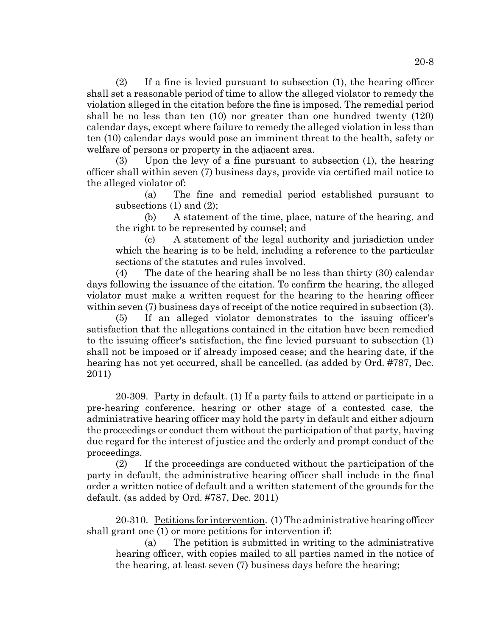(2) If a fine is levied pursuant to subsection (1), the hearing officer shall set a reasonable period of time to allow the alleged violator to remedy the violation alleged in the citation before the fine is imposed. The remedial period shall be no less than ten (10) nor greater than one hundred twenty (120) calendar days, except where failure to remedy the alleged violation in less than ten (10) calendar days would pose an imminent threat to the health, safety or welfare of persons or property in the adjacent area.

(3) Upon the levy of a fine pursuant to subsection (1), the hearing officer shall within seven (7) business days, provide via certified mail notice to the alleged violator of:

(a) The fine and remedial period established pursuant to subsections (1) and (2);

(b) A statement of the time, place, nature of the hearing, and the right to be represented by counsel; and

(c) A statement of the legal authority and jurisdiction under which the hearing is to be held, including a reference to the particular sections of the statutes and rules involved.

(4) The date of the hearing shall be no less than thirty (30) calendar days following the issuance of the citation. To confirm the hearing, the alleged violator must make a written request for the hearing to the hearing officer within seven (7) business days of receipt of the notice required in subsection (3).

(5) If an alleged violator demonstrates to the issuing officer's satisfaction that the allegations contained in the citation have been remedied to the issuing officer's satisfaction, the fine levied pursuant to subsection (1) shall not be imposed or if already imposed cease; and the hearing date, if the hearing has not yet occurred, shall be cancelled. (as added by Ord. #787, Dec. 2011)

20-309. Party in default. (1) If a party fails to attend or participate in a pre-hearing conference, hearing or other stage of a contested case, the administrative hearing officer may hold the party in default and either adjourn the proceedings or conduct them without the participation of that party, having due regard for the interest of justice and the orderly and prompt conduct of the proceedings.

(2) If the proceedings are conducted without the participation of the party in default, the administrative hearing officer shall include in the final order a written notice of default and a written statement of the grounds for the default. (as added by Ord. #787, Dec. 2011)

20-310. Petitions for intervention. (1) The administrative hearing officer shall grant one (1) or more petitions for intervention if:

(a) The petition is submitted in writing to the administrative hearing officer, with copies mailed to all parties named in the notice of the hearing, at least seven (7) business days before the hearing;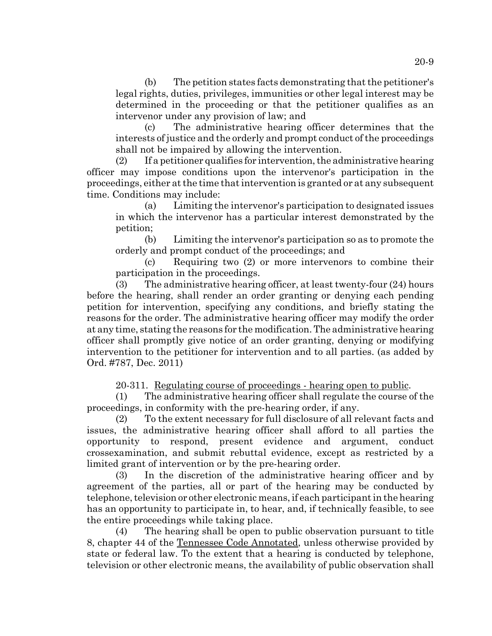(b) The petition states facts demonstrating that the petitioner's legal rights, duties, privileges, immunities or other legal interest may be determined in the proceeding or that the petitioner qualifies as an intervenor under any provision of law; and

(c) The administrative hearing officer determines that the interests of justice and the orderly and prompt conduct of the proceedings shall not be impaired by allowing the intervention.

(2) If a petitioner qualifies for intervention, the administrative hearing officer may impose conditions upon the intervenor's participation in the proceedings, either at the time that intervention is granted or at any subsequent time. Conditions may include:

(a) Limiting the intervenor's participation to designated issues in which the intervenor has a particular interest demonstrated by the petition;

(b) Limiting the intervenor's participation so as to promote the orderly and prompt conduct of the proceedings; and

(c) Requiring two (2) or more intervenors to combine their participation in the proceedings.

(3) The administrative hearing officer, at least twenty-four (24) hours before the hearing, shall render an order granting or denying each pending petition for intervention, specifying any conditions, and briefly stating the reasons for the order. The administrative hearing officer may modify the order at any time, stating the reasons for the modification. The administrative hearing officer shall promptly give notice of an order granting, denying or modifying intervention to the petitioner for intervention and to all parties. (as added by Ord. #787, Dec. 2011)

20-311. Regulating course of proceedings - hearing open to public.

(1) The administrative hearing officer shall regulate the course of the proceedings, in conformity with the pre-hearing order, if any.

(2) To the extent necessary for full disclosure of all relevant facts and issues, the administrative hearing officer shall afford to all parties the opportunity to respond, present evidence and argument, conduct crossexamination, and submit rebuttal evidence, except as restricted by a limited grant of intervention or by the pre-hearing order.

(3) In the discretion of the administrative hearing officer and by agreement of the parties, all or part of the hearing may be conducted by telephone, television or other electronic means, if each participant in the hearing has an opportunity to participate in, to hear, and, if technically feasible, to see the entire proceedings while taking place.

(4) The hearing shall be open to public observation pursuant to title 8, chapter 44 of the Tennessee Code Annotated, unless otherwise provided by state or federal law. To the extent that a hearing is conducted by telephone, television or other electronic means, the availability of public observation shall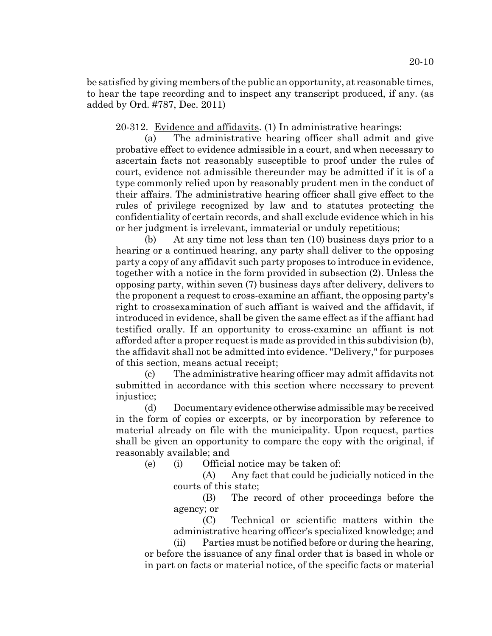be satisfied by giving members of the public an opportunity, at reasonable times, to hear the tape recording and to inspect any transcript produced, if any. (as added by Ord. #787, Dec. 2011)

20-312. Evidence and affidavits. (1) In administrative hearings:

(a) The administrative hearing officer shall admit and give probative effect to evidence admissible in a court, and when necessary to ascertain facts not reasonably susceptible to proof under the rules of court, evidence not admissible thereunder may be admitted if it is of a type commonly relied upon by reasonably prudent men in the conduct of their affairs. The administrative hearing officer shall give effect to the rules of privilege recognized by law and to statutes protecting the confidentiality of certain records, and shall exclude evidence which in his or her judgment is irrelevant, immaterial or unduly repetitious;

(b) At any time not less than ten (10) business days prior to a hearing or a continued hearing, any party shall deliver to the opposing party a copy of any affidavit such party proposes to introduce in evidence, together with a notice in the form provided in subsection (2). Unless the opposing party, within seven (7) business days after delivery, delivers to the proponent a request to cross-examine an affiant, the opposing party's right to crossexamination of such affiant is waived and the affidavit, if introduced in evidence, shall be given the same effect as if the affiant had testified orally. If an opportunity to cross-examine an affiant is not afforded after a proper request is made as provided in this subdivision (b), the affidavit shall not be admitted into evidence. "Delivery," for purposes of this section, means actual receipt;

(c) The administrative hearing officer may admit affidavits not submitted in accordance with this section where necessary to prevent injustice:

(d) Documentary evidence otherwise admissible may be received in the form of copies or excerpts, or by incorporation by reference to material already on file with the municipality. Upon request, parties shall be given an opportunity to compare the copy with the original, if reasonably available; and

(e) (i) Official notice may be taken of:

(A) Any fact that could be judicially noticed in the courts of this state;

(B) The record of other proceedings before the agency; or

(C) Technical or scientific matters within the administrative hearing officer's specialized knowledge; and

(ii) Parties must be notified before or during the hearing, or before the issuance of any final order that is based in whole or in part on facts or material notice, of the specific facts or material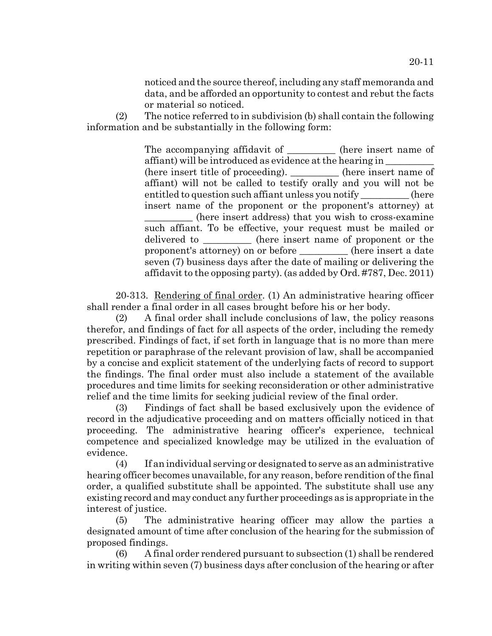noticed and the source thereof, including any staff memoranda and data, and be afforded an opportunity to contest and rebut the facts or material so noticed.

(2) The notice referred to in subdivision (b) shall contain the following information and be substantially in the following form:

> The accompanying affidavit of the insert name of affiant) will be introduced as evidence at the hearing in \_\_\_\_\_\_\_\_\_\_ (here insert title of proceeding). \_\_\_\_\_\_\_\_\_\_ (here insert name of affiant) will not be called to testify orally and you will not be entitled to question such affiant unless you notify \_\_\_\_\_\_\_\_\_\_ (here insert name of the proponent or the proponent's attorney) at \_\_\_\_\_\_\_\_\_\_ (here insert address) that you wish to cross-examine such affiant. To be effective, your request must be mailed or delivered to  $(here \ntherefore)$  (here insert name of proponent or the proponent's attorney) on or before \_\_\_\_\_\_\_\_\_\_ (here insert a date seven (7) business days after the date of mailing or delivering the affidavit to the opposing party). (as added by Ord. #787, Dec. 2011)

20-313. Rendering of final order. (1) An administrative hearing officer shall render a final order in all cases brought before his or her body.

(2) A final order shall include conclusions of law, the policy reasons therefor, and findings of fact for all aspects of the order, including the remedy prescribed. Findings of fact, if set forth in language that is no more than mere repetition or paraphrase of the relevant provision of law, shall be accompanied by a concise and explicit statement of the underlying facts of record to support the findings. The final order must also include a statement of the available procedures and time limits for seeking reconsideration or other administrative relief and the time limits for seeking judicial review of the final order.

(3) Findings of fact shall be based exclusively upon the evidence of record in the adjudicative proceeding and on matters officially noticed in that proceeding. The administrative hearing officer's experience, technical competence and specialized knowledge may be utilized in the evaluation of evidence.

(4) If an individual serving or designated to serve as an administrative hearing officer becomes unavailable, for any reason, before rendition of the final order, a qualified substitute shall be appointed. The substitute shall use any existing record and may conduct any further proceedings as is appropriate in the interest of justice.

(5) The administrative hearing officer may allow the parties a designated amount of time after conclusion of the hearing for the submission of proposed findings.

(6) A final order rendered pursuant to subsection (1) shall be rendered in writing within seven (7) business days after conclusion of the hearing or after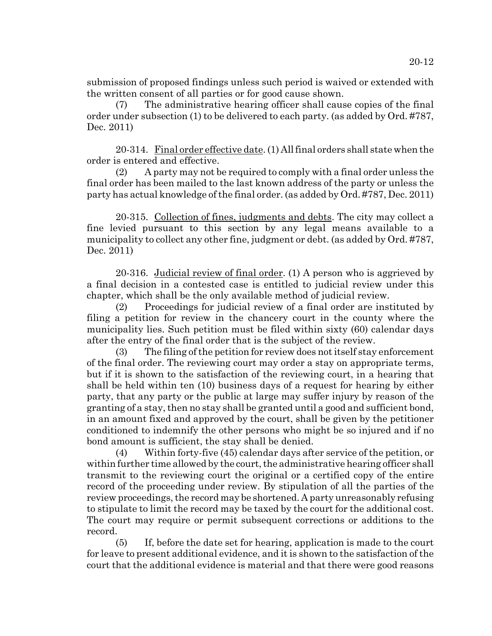submission of proposed findings unless such period is waived or extended with the written consent of all parties or for good cause shown.

(7) The administrative hearing officer shall cause copies of the final order under subsection (1) to be delivered to each party. (as added by Ord. #787, Dec. 2011)

20-314. Final order effective date. (1) All final orders shall state when the order is entered and effective.

(2) A party may not be required to comply with a final order unless the final order has been mailed to the last known address of the party or unless the party has actual knowledge of the final order. (as added by Ord. #787, Dec. 2011)

20-315. Collection of fines, judgments and debts. The city may collect a fine levied pursuant to this section by any legal means available to a municipality to collect any other fine, judgment or debt. (as added by Ord. #787, Dec. 2011)

20-316. Judicial review of final order. (1) A person who is aggrieved by a final decision in a contested case is entitled to judicial review under this chapter, which shall be the only available method of judicial review.

(2) Proceedings for judicial review of a final order are instituted by filing a petition for review in the chancery court in the county where the municipality lies. Such petition must be filed within sixty (60) calendar days after the entry of the final order that is the subject of the review.

(3) The filing of the petition for review does not itself stay enforcement of the final order. The reviewing court may order a stay on appropriate terms, but if it is shown to the satisfaction of the reviewing court, in a hearing that shall be held within ten (10) business days of a request for hearing by either party, that any party or the public at large may suffer injury by reason of the granting of a stay, then no stay shall be granted until a good and sufficient bond, in an amount fixed and approved by the court, shall be given by the petitioner conditioned to indemnify the other persons who might be so injured and if no bond amount is sufficient, the stay shall be denied.

(4) Within forty-five (45) calendar days after service of the petition, or within further time allowed by the court, the administrative hearing officer shall transmit to the reviewing court the original or a certified copy of the entire record of the proceeding under review. By stipulation of all the parties of the review proceedings, the record may be shortened. A party unreasonably refusing to stipulate to limit the record may be taxed by the court for the additional cost. The court may require or permit subsequent corrections or additions to the record.

(5) If, before the date set for hearing, application is made to the court for leave to present additional evidence, and it is shown to the satisfaction of the court that the additional evidence is material and that there were good reasons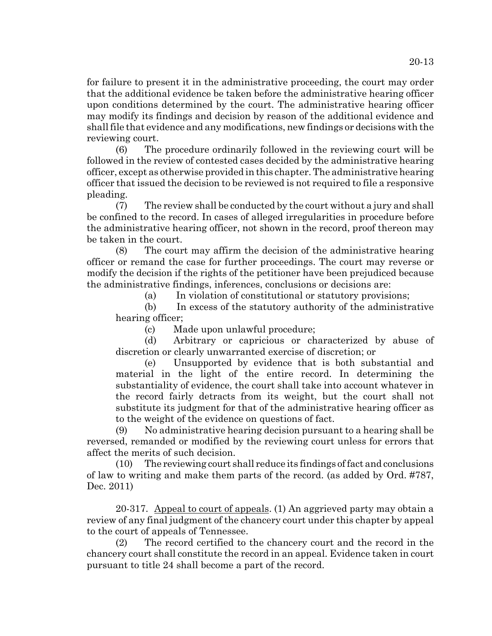for failure to present it in the administrative proceeding, the court may order that the additional evidence be taken before the administrative hearing officer upon conditions determined by the court. The administrative hearing officer may modify its findings and decision by reason of the additional evidence and shall file that evidence and any modifications, new findings or decisions with the reviewing court.

(6) The procedure ordinarily followed in the reviewing court will be followed in the review of contested cases decided by the administrative hearing officer, except as otherwise provided in this chapter. The administrative hearing officer that issued the decision to be reviewed is not required to file a responsive pleading.

(7) The review shall be conducted by the court without a jury and shall be confined to the record. In cases of alleged irregularities in procedure before the administrative hearing officer, not shown in the record, proof thereon may be taken in the court.

(8) The court may affirm the decision of the administrative hearing officer or remand the case for further proceedings. The court may reverse or modify the decision if the rights of the petitioner have been prejudiced because the administrative findings, inferences, conclusions or decisions are:

(a) In violation of constitutional or statutory provisions;

(b) In excess of the statutory authority of the administrative hearing officer;

(c) Made upon unlawful procedure;

(d) Arbitrary or capricious or characterized by abuse of discretion or clearly unwarranted exercise of discretion; or

(e) Unsupported by evidence that is both substantial and material in the light of the entire record. In determining the substantiality of evidence, the court shall take into account whatever in the record fairly detracts from its weight, but the court shall not substitute its judgment for that of the administrative hearing officer as to the weight of the evidence on questions of fact.

(9) No administrative hearing decision pursuant to a hearing shall be reversed, remanded or modified by the reviewing court unless for errors that affect the merits of such decision.

(10) The reviewing court shall reduce its findings of fact and conclusions of law to writing and make them parts of the record. (as added by Ord. #787, Dec. 2011)

20-317. Appeal to court of appeals. (1) An aggrieved party may obtain a review of any final judgment of the chancery court under this chapter by appeal to the court of appeals of Tennessee.

(2) The record certified to the chancery court and the record in the chancery court shall constitute the record in an appeal. Evidence taken in court pursuant to title 24 shall become a part of the record.